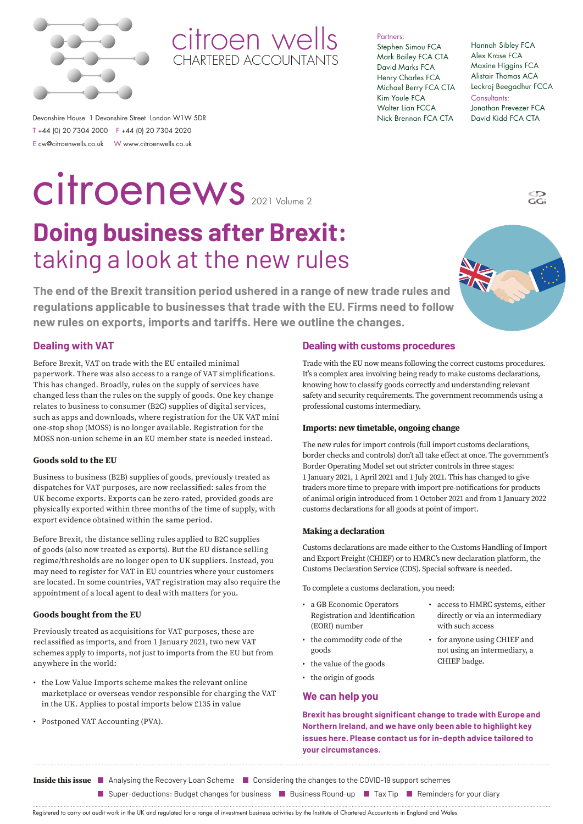

citroen wells CHARTERED ACCOUNTANTS

Partners:

Stephen Simou FCA Mark Bailey FCA CTA David Marks FCA Henry Charles FCA Michael Berry FCA CTA Kim Youle FCA Walter Lian FCCA Nick Brennan FCA CTA

Hannah Sibley FCA Alex Krase FCA Maxine Higgins FCA Alistair Thomas ACA Leckraj Beegadhur FCCA Consultants: Jonathan Prevezer FCA David Kidd FCA CTA

Devonshire House 1 Devonshire Street London W1W 5DR T +44 (0) 20 7304 2000 F +44 (0) 20 7304 2020 E cw@citroenwells.co.uk W www.citroenwells.co.uk

# 2021 Volume 2 citroenews

# **Doing business after Brexit:**  taking a look at the new rules

**The end of the Brexit transition period ushered in a range of new trade rules and regulations applicable to businesses that trade with the EU. Firms need to follow new rules on exports, imports and tariffs. Here we outline the changes.**

### **Dealing with VAT**

Before Brexit, VAT on trade with the EU entailed minimal paperwork. There was also access to a range of VAT simplifications. This has changed. Broadly, rules on the supply of services have changed less than the rules on the supply of goods. One key change relates to business to consumer (B2C) supplies of digital services, such as apps and downloads, where registration for the UK VAT mini one-stop shop (MOSS) is no longer available. Registration for the MOSS non-union scheme in an EU member state is needed instead.

### **Goods sold to the EU**

Business to business (B2B) supplies of goods, previously treated as dispatches for VAT purposes, are now reclassified: sales from the UK become exports. Exports can be zero-rated, provided goods are physically exported within three months of the time of supply, with export evidence obtained within the same period.

Before Brexit, the distance selling rules applied to B2C supplies of goods (also now treated as exports). But the EU distance selling regime/thresholds are no longer open to UK suppliers. Instead, you may need to register for VAT in EU countries where your customers are located. In some countries, VAT registration may also require the appointment of a local agent to deal with matters for you.

### **Goods bought from the EU**

Previously treated as acquisitions for VAT purposes, these are reclassified as imports, and from 1 January 2021, two new VAT schemes apply to imports, not just to imports from the EU but from anywhere in the world:

- the Low Value Imports scheme makes the relevant online marketplace or overseas vendor responsible for charging the VAT in the UK. Applies to postal imports below £135 in value
- Postponed VAT Accounting (PVA).

### **Dealing with customs procedures**

Trade with the EU now means following the correct customs procedures. It's a complex area involving being ready to make customs declarations, knowing how to classify goods correctly and understanding relevant safety and security requirements. The government recommends using a professional customs intermediary.

#### **Imports: new timetable, ongoing change**

The new rules for import controls (full import customs declarations, border checks and controls) don't all take effect at once. The government's Border Operating Model set out stricter controls in three stages: 1 January 2021, 1 April 2021 and 1 July 2021. This has changed to give traders more time to prepare with import pre-notifications for products of animal origin introduced from 1 October 2021 and from 1 January 2022 customs declarations for all goods at point of import.

### **Making a declaration**

Customs declarations are made either to the Customs Handling of Import and Export Freight (CHIEF) or to HMRC's new declaration platform, the Customs Declaration Service (CDS). Special software is needed.

> • access to HMRC systems, either directly or via an intermediary

• for anyone using CHIEF and not using an intermediary, a

with such access

CHIEF badge.

To complete a customs declaration, you need:

- a GB Economic Operators Registration and Identification (EORI) number
- the commodity code of the goods
- the value of the goods
- the origin of goods

### **We can help you**

**Brexit has brought significant change to trade with Europe and Northern Ireland, and we have only been able to highlight key issues here. Please contact us for in-depth advice tailored to your circumstances.**

- **Inside this issue** Analysing the Recovery Loan SchemeConsidering the changes to the COVID-19 support schemes
	- **a** Super-deductions: Budget changes for business **B** Business Round-up **Tax Tip Reminders for your diary**

Registered to carry out audit work in the UK and regulated for a range of investment business activities by the Institute of Chartered Accountants in England and Wales.



 $\overline{G}$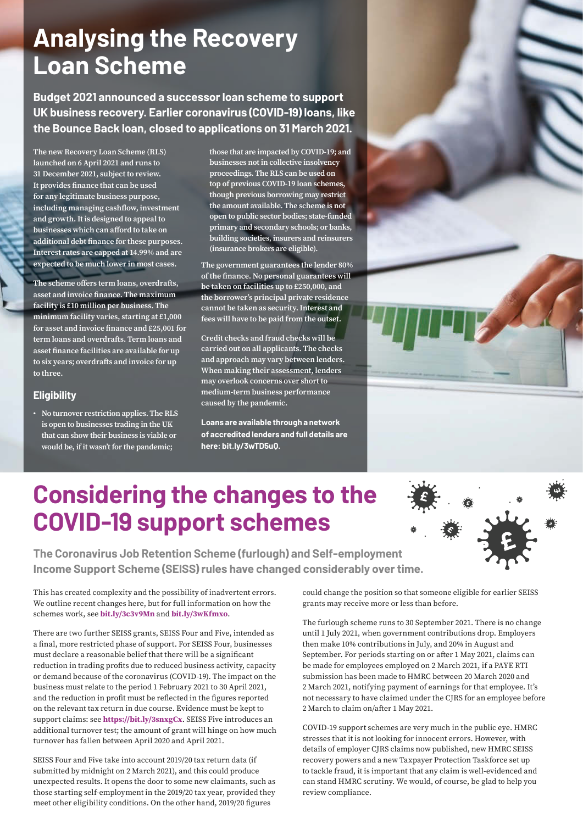# **Analysing the Recovery Loan Scheme**

**Budget 2021 announced a successor loan scheme to support UK business recovery. Earlier coronavirus (COVID-19) loans, like the Bounce Back loan, closed to applications on 31 March 2021.** 

**The new Recovery Loan Scheme (RLS) launched on 6 April 2021 and runs to 31 December 2021, subject to review. It provides finance that can be used for any legitimate business purpose, including managing cashflow, investment and growth. It is designed to appeal to businesses which can afford to take on additional debt finance for these purposes. Interest rates are capped at 14.99% and are expected to be much lower in most cases.**

**The scheme offers term loans, overdrafts, asset and invoice finance. The maximum facility is £10 million per business. The minimum facility varies, starting at £1,000 for asset and invoice finance and £25,001 for term loans and overdrafts. Term loans and asset finance facilities are available for up to six years; overdrafts and invoice for up to three.** 

# **Eligibility**

**• No turnover restriction applies. The RLS is open to businesses trading in the UK that can show their business is viable or would be, if it wasn't for the pandemic;** 

**those that are impacted by COVID-19; and businesses not in collective insolvency proceedings. The RLS can be used on top of previous COVID-19 loan schemes, though previous borrowing may restrict the amount available. The scheme is not open to public sector bodies; state-funded primary and secondary schools; or banks, building societies, insurers and reinsurers (insurance brokers are eligible).**

**The government guarantees the lender 80% of the finance. No personal guarantees will be taken on facilities up to £250,000, and the borrower's principal private residence cannot be taken as security. Interest and fees will have to be paid from the outset.**

**Credit checks and fraud checks will be carried out on all applicants. The checks and approach may vary between lenders. When making their assessment, lenders may overlook concerns over short to medium-term business performance caused by the pandemic.**

**Loans are available through a network of accredited lenders and full details are here: [bit.ly/3wTD5uQ](https://bit.ly/3wTD5uQ).** 



# **Considering the changes to the COVID-19 support schemes**

**The Coronavirus Job Retention Scheme (furlough) and Self-employment Income Support Scheme (SEISS) rules have changed considerably over time.** 

This has created complexity and the possibility of inadvertent errors. We outline recent changes here, but for full information on how the schemes work, see **[bit.ly/3c3v9Mn](https://bit.ly/3c3v9Mn)** and **[bit.ly/3wKfmxo](https://www.gov.uk/guidance/claim-a-grant-through-the-coronavirus-covid-19-self-employment-income-support-scheme?utm_medium=email&utm_campaign=govuk-notifications&utm_source=80f0ede6-e28d-451d-88e0-476520433ed9&utm_content=immediately)**.

There are two further SEISS grants, SEISS Four and Five, intended as a final, more restricted phase of support. For SEISS Four, businesses must declare a reasonable belief that there will be a significant reduction in trading profits due to reduced business activity, capacity or demand because of the coronavirus (COVID-19). The impact on the business must relate to the period 1 February 2021 to 30 April 2021, and the reduction in profit must be reflected in the figures reported on the relevant tax return in due course. Evidence must be kept to support claims: see **<https://bit.ly/3snxgCx>**. SEISS Five introduces an additional turnover test; the amount of grant will hinge on how much turnover has fallen between April 2020 and April 2021.

SEISS Four and Five take into account 2019/20 tax return data (if submitted by midnight on 2 March 2021), and this could produce unexpected results. It opens the door to some new claimants, such as those starting self-employment in the 2019/20 tax year, provided they meet other eligibility conditions. On the other hand, 2019/20 figures

could change the position so that someone eligible for earlier SEISS grants may receive more or less than before.

The furlough scheme runs to 30 September 2021. There is no change until 1 July 2021, when government contributions drop. Employers then make 10% contributions in July, and 20% in August and September. For periods starting on or after 1 May 2021, claims can be made for employees employed on 2 March 2021, if a PAYE RTI submission has been made to HMRC between 20 March 2020 and 2 March 2021, notifying payment of earnings for that employee. It's not necessary to have claimed under the CJRS for an employee before 2 March to claim on/after 1 May 2021.

COVID-19 support schemes are very much in the public eye. HMRC stresses that it is not looking for innocent errors. However, with details of employer CJRS claims now published, new HMRC SEISS recovery powers and a new Taxpayer Protection Taskforce set up to tackle fraud, it is important that any claim is well-evidenced and can stand HMRC scrutiny. We would, of course, be glad to help you review compliance.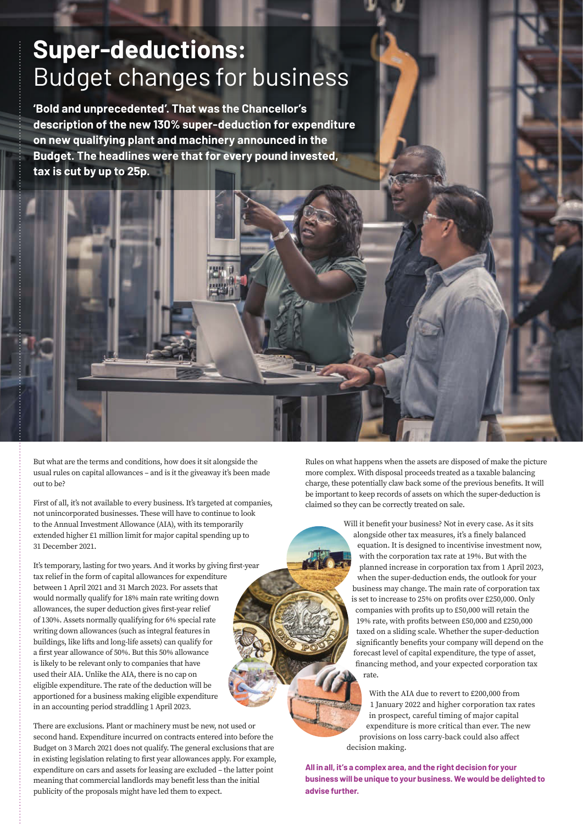# **Super-deductions:**  Budget changes for business

**'Bold and unprecedented'. That was the Chancellor's description of the new 130% super-deduction for expenditure on new qualifying plant and machinery announced in the Budget. The headlines were that for every pound invested, tax is cut by up to 25p.** 

But what are the terms and conditions, how does it sit alongside the usual rules on capital allowances – and is it the giveaway it's been made out to be?

First of all, it's not available to every business. It's targeted at companies, not unincorporated businesses. These will have to continue to look to the Annual Investment Allowance (AIA), with its temporarily extended higher £1 million limit for major capital spending up to 31 December 2021.

It's temporary, lasting for two years. And it works by giving first-year tax relief in the form of capital allowances for expenditure between 1 April 2021 and 31 March 2023. For assets that would normally qualify for 18% main rate writing down allowances, the super deduction gives first-year relief of 130%. Assets normally qualifying for 6% special rate writing down allowances (such as integral features in buildings, like lifts and long-life assets) can qualify for a first year allowance of 50%. But this 50% allowance is likely to be relevant only to companies that have used their AIA. Unlike the AIA, there is no cap on eligible expenditure. The rate of the deduction will be apportioned for a business making eligible expenditure in an accounting period straddling 1 April 2023.

There are exclusions. Plant or machinery must be new, not used or second hand. Expenditure incurred on contracts entered into before the Budget on 3 March 2021 does not qualify. The general exclusions that are in existing legislation relating to first year allowances apply. For example, expenditure on cars and assets for leasing are excluded – the latter point meaning that commercial landlords may benefit less than the initial publicity of the proposals might have led them to expect.

Rules on what happens when the assets are disposed of make the picture more complex. With disposal proceeds treated as a taxable balancing charge, these potentially claw back some of the previous benefits. It will be important to keep records of assets on which the super-deduction is claimed so they can be correctly treated on sale.

> Will it benefit your business? Not in every case. As it sits alongside other tax measures, it's a finely balanced equation. It is designed to incentivise investment now, with the corporation tax rate at 19%. But with the planned increase in corporation tax from 1 April 2023, when the super-deduction ends, the outlook for your business may change. The main rate of corporation tax is set to increase to 25% on profits over £250,000. Only companies with profits up to £50,000 will retain the 19% rate, with profits between £50,000 and £250,000 taxed on a sliding scale. Whether the super-deduction significantly benefits your company will depend on the forecast level of capital expenditure, the type of asset, financing method, and your expected corporation tax rate.

With the AIA due to revert to £200,000 from 1 January 2022 and higher corporation tax rates in prospect, careful timing of major capital expenditure is more critical than ever. The new provisions on loss carry-back could also affect decision making.

**All in all, it's a complex area, and the right decision for your business will be unique to your business. We would be delighted to advise further.**